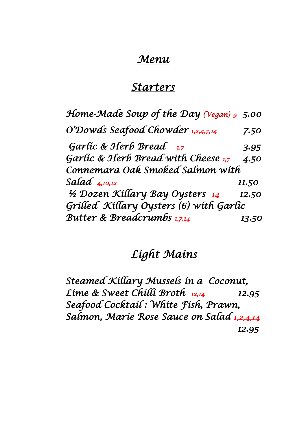### *Menu*

### *Starters*

| Home-Made Soup of the Day (Yegan) 9 5.00 |       |
|------------------------------------------|-------|
| O'Dowds Seafood Chowder 1,2,4,7,14       | 7.50  |
| Garlic & Herb Bread 1,7                  | 3.95  |
| Garlic & Herb Bread with Cheese 1,7      | 4.50  |
| Connemara Oak Smoked Salmon with         |       |
| Salad $_{4,10,12}$                       | 11.50 |
| 1/2 Dozen Killary Bay Oysters 14         | 12.50 |
| Grilled Killary Oysters (6) with Garlic  |       |
| <b>Butter &amp; Breadcrumbs 1,7,14</b>   | 13.50 |

### *Light Mains*

*Steamed Killary Mussels in a Coconut, Lime & Sweet Chilli Broth 12,14 12.95 Seafood Cocktail : White Fish, Prawn, Salmon, Marie Rose Sauce on Salad 1,2,4,14 12.95*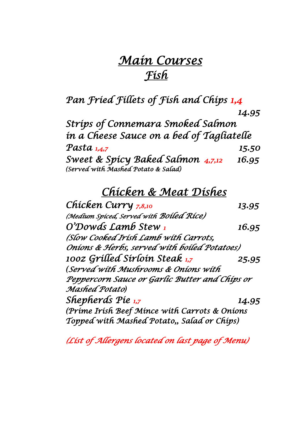## *Main Courses Fish*

*Pan Fried Fillets of Fish and Chips 1,4* 

|                                                                          | 14.95 |
|--------------------------------------------------------------------------|-------|
| Stríps of Connemara Smoked Salmon                                        |       |
| in a Cheese Sauce on a bed of Tagliatelle                                |       |
| Pasta 1,4,7                                                              | 15.50 |
| Sweet & Spícy Baked Salmon 4,7,12<br>(served with Mashed Potato & salad) | 16.95 |
|                                                                          |       |

### *Chicken & Meat Dishes*

*Chicken Curry 7,8,10 13.95 (Medium Spiced, Served with Boiled Rice) O'Dowds Lamb Stew 1 16.95 (Slow Cooked Irish Lamb with Carrots, Onions & Herbs, served with boiled Potatoes) 10oz Grilled Sirloin Steak 1,7 25.95 (Served with Mushrooms & Onions with Peppercorn Sauce or Garlic Butter and Chips or Mashed Potato) Shepherds Pie 1,7 14.95 (Prime Irish Beef Mince with Carrots & Onions Topped with Mashed Potato,, Salad or Chips)* 

*(List of Allergens located on last page of Menu)*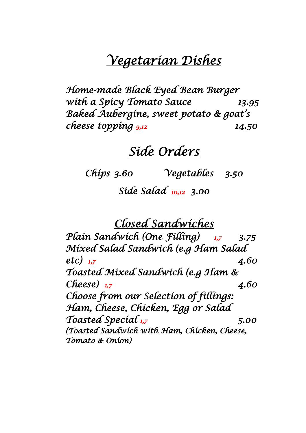# *Vegetarian Dishes*

*Home-made Black Eyed Bean Burger with a Spicy Tomato Sauce 13.95 Baked Aubergine, sweet potato & goat's cheese topping 9,12 14.50*

## *Side Orders*

*Chips 3.60 Vegetables 3.50 Side Salad 10,12 3.00* 

*Closed Sandwiches* 

*Plain Sandwich (One Filling) 1,7 3.75 Mixed Salad Sandwich (e.g Ham Salad etc) 1,7 4.60 Toasted Mixed Sandwich (e.g Ham & Cheese) 1,7 4.60 Choose from our Selection of fillings: Ham, Cheese, Chicken, Egg or Salad Toasted Special 1,7 5.00 (Toasted Sandwich with Ham, Chicken, Cheese, Tomato & Onion)*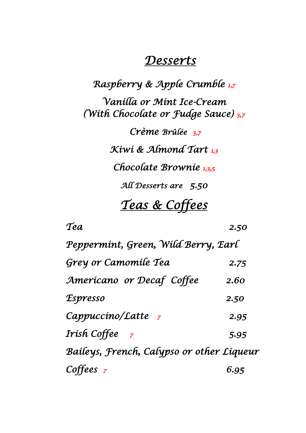### *Desserts*

*Raspberry & Apple Crumble 1,7 Vanilla or Mint Ice-Cream (With Chocolate or Fudge Sauce) 3,7 Crème Brûlée 3,7 Kiwi & Almond Tart 1,3 Chocolate Brownie 1,3,5 All Desserts are 5.50 Teas & Coffees* 

*Tea 2.50 Peppermint, Green, Wild Berry, Earl Grey or Camomile Tea 2.75 Americano or Decaf Coffee 2.60 Espresso 2.50 Cappuccino/Latte <sup>7</sup> 2.95 Irish Coffee 7 5.95 Baileys, French, Calypso or other Liqueur Coffees 7 6.95*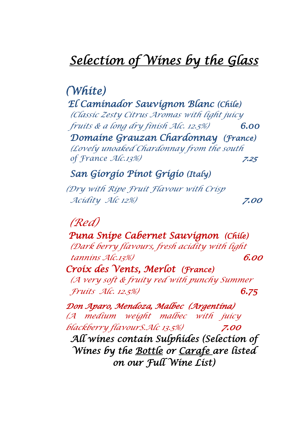# *Selection of Wines by the Glass*

### *(White) El Caminador Sauvignon Blanc (Chile) (Classic Zesty Citrus Aromas with light juicy fruits & a long dry finish Alc. 12.5%) 6.00*

*Domaine Grauzan Chardonnay (France) (Lovely unoaked Chardonnay from the south of France Alc.13%) 7.25* 

### *San Giorgio Pinot Grigio (Italy)*

*(Dry with Ripe Fruit Flavour with Crisp Acidity Alc 12%) 7.00*

### *(Red)*

 *Puna Snipe Cabernet Sauvignon (Chile) (Dark berry flavours, fresh acidity with light tannins Alc.13%) 6.00 Croix des Vents, Merlot (France) (A very soft & fruity red with punchy Summer*

*Fruits Alc. 12.5%) 6.75*

*Don Aparo, Mendoza, Malbec (Argentina) (A medium weight malbec with juicy blackberry flavourS.Alc 13.5%) 7.00 All wines contain Sulphides (Selection of Wines by the Bottle or Carafe are listed on our Full Wine List)*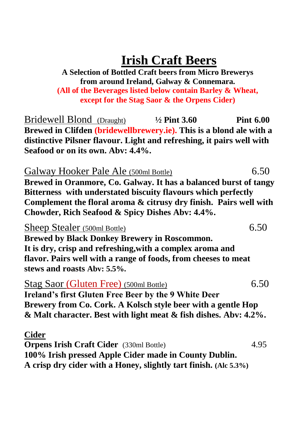# **Irish Craft Beers**

#### **A Selection of Bottled Craft beers from Micro Brewerys from around Ireland, Galway & Connemara. (All of the Beverages listed below contain Barley & Wheat, except for the Stag Saor & the Orpens Cider)**

Bridewell Blond (Draught) **½ Pint 3.60 Pint 6.00 Brewed in Clifden (bridewellbrewery.ie). This is a blond ale with a distinctive Pilsner flavour. Light and refreshing, it pairs well with Seafood or on its own. Abv: 4.4%.**

Galway Hooker Pale Ale (500ml Bottle) 6.50 **Brewed in Oranmore, Co. Galway. It has a balanced burst of tangy Bitterness with understated biscuity flavours which perfectly Complement the floral aroma & citrusy dry finish. Pairs well with Chowder, Rich Seafood & Spicy Dishes Abv: 4.4%.**

#### Sheep Stealer (500ml Bottle) 6.50

**Brewed by Black Donkey Brewery in Roscommon. It is dry, crisp and refreshing,with a complex aroma and flavor. Pairs well with a range of foods, from cheeses to meat stews and roasts Abv: 5.5%.**

Stag Saor (Gluten Free) (500ml Bottle) 6.50 **Ireland's first Gluten Free Beer by the 9 White Deer Brewery from Co. Cork. A Kolsch style beer with a gentle Hop & Malt character. Best with light meat & fish dishes. Abv: 4.2%.**

**Cider**

**Orpens Irish Craft Cider** (330ml Bottle) 4.95 **100% Irish pressed Apple Cider made in County Dublin. A crisp dry cider with a Honey, slightly tart finish. (Alc 5.3%)**